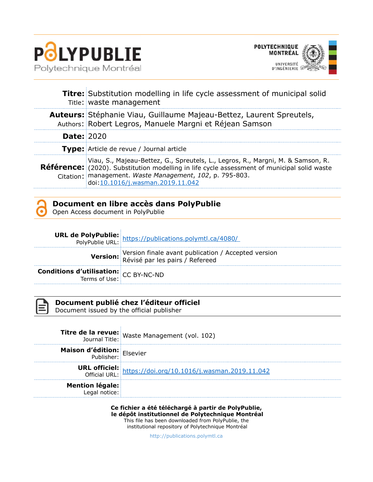



|                   | <b>Titre:</b> Substitution modelling in life cycle assessment of municipal solid<br>Title: waste management                                                                                                                                                                           |  |
|-------------------|---------------------------------------------------------------------------------------------------------------------------------------------------------------------------------------------------------------------------------------------------------------------------------------|--|
|                   | Auteurs: Stéphanie Viau, Guillaume Majeau-Bettez, Laurent Spreutels,<br>Authors: Robert Legros, Manuele Margni et Réjean Samson                                                                                                                                                       |  |
| <b>Date: 2020</b> |                                                                                                                                                                                                                                                                                       |  |
|                   | Type: Article de revue / Journal article                                                                                                                                                                                                                                              |  |
|                   | Viau, S., Majeau-Bettez, G., Spreutels, L., Legros, R., Margni, M. & Samson, R.<br><b>Référence:</b> (2020). Substitution modelling in life cycle assessment of municipal solid waste<br>Citation: management. Waste Management, 102, p. 795-803.<br>doi:10.1016/j.wasman.2019.11.042 |  |

| Document en libre accès dans PolyPublie |
|-----------------------------------------|
| Open Access document in PolyPublie      |

|                                                                               | <b>URL de PolyPublie:</b> https://publications.polymtl.ca/4080/<br>PolyPublie URL: https://publications.polymtl.ca/4080/ |
|-------------------------------------------------------------------------------|--------------------------------------------------------------------------------------------------------------------------|
|                                                                               | Version: Version finale avant publication / Accepted version<br>Révisé par les pairs / Refereed                          |
| <b>Conditions d'utilisation:</b> $CC$ BY-NC-ND<br>Terms of Use: $CC$ BY-NC-ND |                                                                                                                          |



## **Document publié chez l'éditeur officiel**

Document issued by the official publisher

Î.

|                                   | <b>Titre de la revue:</b><br>Journal Title: Waste Management (vol. 102)            |
|-----------------------------------|------------------------------------------------------------------------------------|
| <b>Maison d'édition:</b> Elsevier |                                                                                    |
|                                   | <b>URL officiel:</b><br>Official URL: https://doi.org/10.1016/j.wasman.2019.11.042 |
| Mention légale:                   |                                                                                    |

**Ce fichier a été téléchargé à partir de PolyPublie, le dépôt institutionnel de Polytechnique Montréal** This file has been downloaded from PolyPublie, the

institutional repository of Polytechnique Montréal

[http://publications.polymtl.ca](http://publications.polymtl.ca/)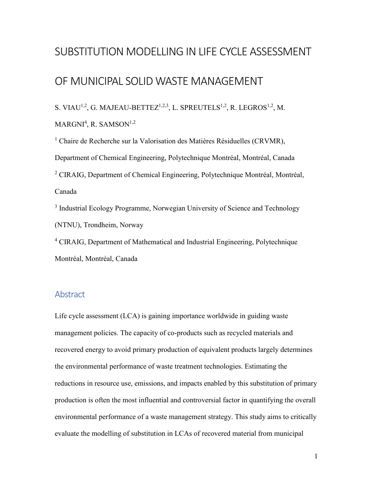# SUBSTITUTION MODELLING IN LIFE CYCLE ASSESSMENT

# OF MUNICIPAL SOLID WASTE MANAGEMENT

S. VIAU<sup>1,2</sup>, G. MAJEAU-BETTEZ<sup>1,2,3</sup>, L. SPREUTELS<sup>1,2</sup>, R. LEGROS<sup>1,2</sup>, M.  $MARGNI<sup>4</sup>, R. SAMSON<sup>1,2</sup>$ 

<sup>1</sup> Chaire de Recherche sur la Valorisation des Matières Résiduelles (CRVMR), Department of Chemical Engineering, Polytechnique Montréal, Montréal, Canada <sup>2</sup> CIRAIG, Department of Chemical Engineering, Polytechnique Montréal, Montréal, Canada

<sup>3</sup> Industrial Ecology Programme, Norwegian University of Science and Technology (NTNU), Trondheim, Norway

<sup>4</sup> CIRAIG, Department of Mathematical and Industrial Engineering, Polytechnique Montréal, Montréal, Canada

## Abstract

Life cycle assessment (LCA) is gaining importance worldwide in guiding waste management policies. The capacity of co-products such as recycled materials and recovered energy to avoid primary production of equivalent products largely determines the environmental performance of waste treatment technologies. Estimating the reductions in resource use, emissions, and impacts enabled by this substitution of primary production is often the most influential and controversial factor in quantifying the overall environmental performance of a waste management strategy. This study aims to critically evaluate the modelling of substitution in LCAs of recovered material from municipal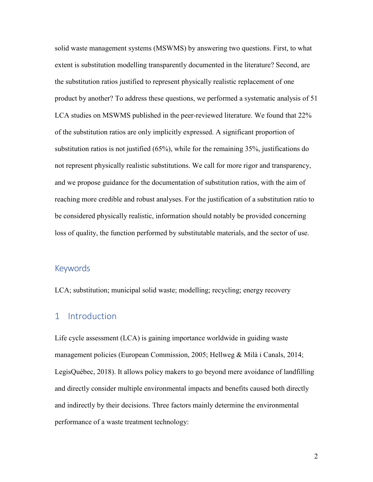solid waste management systems (MSWMS) by answering two questions. First, to what extent is substitution modelling transparently documented in the literature? Second, are the substitution ratios justified to represent physically realistic replacement of one product by another? To address these questions, we performed a systematic analysis of 51 LCA studies on MSWMS published in the peer-reviewed literature. We found that 22% of the substitution ratios are only implicitly expressed. A significant proportion of substitution ratios is not justified (65%), while for the remaining 35%, justifications do not represent physically realistic substitutions. We call for more rigor and transparency, and we propose guidance for the documentation of substitution ratios, with the aim of reaching more credible and robust analyses. For the justification of a substitution ratio to be considered physically realistic, information should notably be provided concerning loss of quality, the function performed by substitutable materials, and the sector of use.

## Keywords

LCA; substitution; municipal solid waste; modelling; recycling; energy recovery

## 1 Introduction

Life cycle assessment (LCA) is gaining importance worldwide in guiding waste management policies (European Commission, 2005; Hellweg & Milà i Canals, 2014; LegisQuébec, 2018). It allows policy makers to go beyond mere avoidance of landfilling and directly consider multiple environmental impacts and benefits caused both directly and indirectly by their decisions. Three factors mainly determine the environmental performance of a waste treatment technology: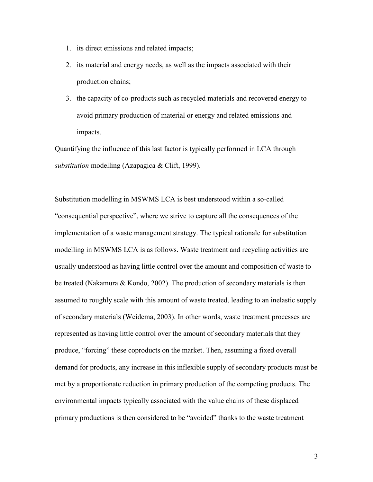- 1. its direct emissions and related impacts;
- 2. its material and energy needs, as well as the impacts associated with their production chains;
- 3. the capacity of co-products such as recycled materials and recovered energy to avoid primary production of material or energy and related emissions and impacts.

Quantifying the influence of this last factor is typically performed in LCA through *substitution* modelling (Azapagica & Clift, 1999).

Substitution modelling in MSWMS LCA is best understood within a so-called "consequential perspective", where we strive to capture all the consequences of the implementation of a waste management strategy. The typical rationale for substitution modelling in MSWMS LCA is as follows. Waste treatment and recycling activities are usually understood as having little control over the amount and composition of waste to be treated (Nakamura & Kondo, 2002). The production of secondary materials is then assumed to roughly scale with this amount of waste treated, leading to an inelastic supply of secondary materials (Weidema, 2003). In other words, waste treatment processes are represented as having little control over the amount of secondary materials that they produce, "forcing" these coproducts on the market. Then, assuming a fixed overall demand for products, any increase in this inflexible supply of secondary products must be met by a proportionate reduction in primary production of the competing products. The environmental impacts typically associated with the value chains of these displaced primary productions is then considered to be "avoided" thanks to the waste treatment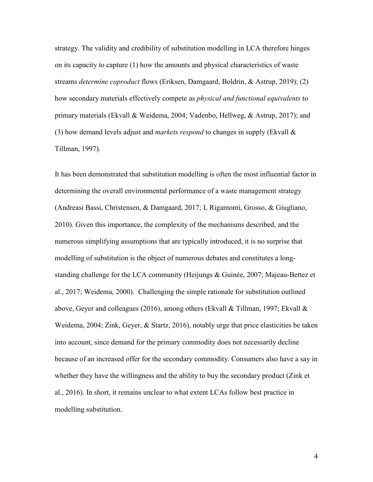strategy. The validity and credibility of substitution modelling in LCA therefore hinges on its capacity to capture (1) how the amounts and physical characteristics of waste streams *determine coproduct* flows (Eriksen, Damgaard, Boldrin, & Astrup, 2019); (2) how secondary materials effectively compete as *physical and functional equivalents* to primary materials (Ekvall & Weidema, 2004; Vadenbo, Hellweg, & Astrup, 2017); and (3) how demand levels adjust and *markets respond* to changes in supply (Ekvall & Tillman, 1997).

It has been demonstrated that substitution modelling is often the most influential factor in determining the overall environmental performance of a waste management strategy (Andreasi Bassi, Christensen, & Damgaard, 2017; L Rigamonti, Grosso, & Giugliano, 2010). Given this importance, the complexity of the mechanisms described, and the numerous simplifying assumptions that are typically introduced, it is no surprise that modelling of substitution is the object of numerous debates and constitutes a longstanding challenge for the LCA community (Heijungs & Guinée, 2007; Majeau-Bettez et al., 2017; Weidema, 2000). Challenging the simple rationale for substitution outlined above, Geyer and colleagues (2016), among others (Ekvall & Tillman, 1997; Ekvall & Weidema, 2004; Zink, Geyer, & Startz, 2016), notably urge that price elasticities be taken into account, since demand for the primary commodity does not necessarily decline because of an increased offer for the secondary commodity. Consumers also have a say in whether they have the willingness and the ability to buy the secondary product (Zink et al., 2016). In short, it remains unclear to what extent LCAs follow best practice in modelling substitution.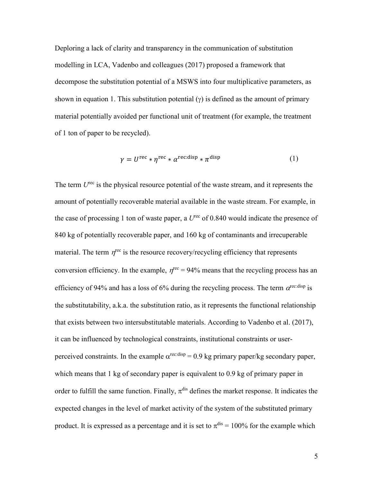Deploring a lack of clarity and transparency in the communication of substitution modelling in LCA, Vadenbo and colleagues (2017) proposed a framework that decompose the substitution potential of a MSWS into four multiplicative parameters, as shown in equation 1. This substitution potential  $(y)$  is defined as the amount of primary material potentially avoided per functional unit of treatment (for example, the treatment of 1 ton of paper to be recycled).

$$
\gamma = U^{\text{rec}} * \eta^{\text{rec}} * \alpha^{\text{rec:disp}} * \pi^{\text{disp}}
$$
 (1)

The term  $U^{\text{rec}}$  is the physical resource potential of the waste stream, and it represents the amount of potentially recoverable material available in the waste stream. For example, in the case of processing 1 ton of waste paper, a  $U^{\text{rec}}$  of 0.840 would indicate the presence of 840 kg of potentially recoverable paper, and 160 kg of contaminants and irrecuperable material. The term  $\eta^{\text{rec}}$  is the resource recovery/recycling efficiency that represents conversion efficiency. In the example,  $\eta^{\text{rec}} = 94\%$  means that the recycling process has an efficiency of 94% and has a loss of 6% during the recycling process. The term  $\alpha^{\text{rec:disp}}$  is the substitutability, a.k.a. the substitution ratio, as it represents the functional relationship that exists between two intersubstitutable materials. According to Vadenbo et al. (2017), it can be influenced by technological constraints, institutional constraints or userperceived constraints. In the example  $\alpha^{\text{rec:disp}} = 0.9$  kg primary paper/kg secondary paper, which means that 1 kg of secondary paper is equivalent to 0.9 kg of primary paper in order to fulfill the same function. Finally,  $\pi$ <sup>dis</sup> defines the market response. It indicates the expected changes in the level of market activity of the system of the substituted primary product. It is expressed as a percentage and it is set to  $\pi^{\text{dis}} = 100\%$  for the example which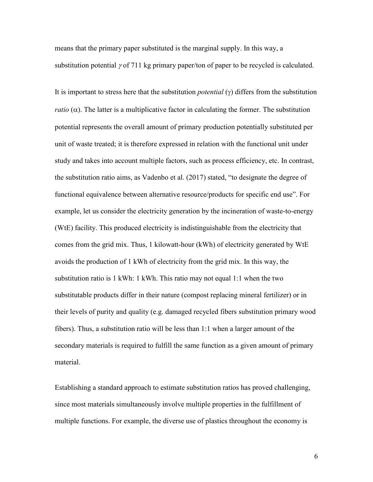means that the primary paper substituted is the marginal supply. In this way, a substitution potential  $\gamma$  of 711 kg primary paper/ton of paper to be recycled is calculated.

It is important to stress here that the substitution *potential* (γ) differs from the substitution *ratio* ( $\alpha$ ). The latter is a multiplicative factor in calculating the former. The substitution potential represents the overall amount of primary production potentially substituted per unit of waste treated; it is therefore expressed in relation with the functional unit under study and takes into account multiple factors, such as process efficiency, etc. In contrast, the substitution ratio aims, as Vadenbo et al. (2017) stated, "to designate the degree of functional equivalence between alternative resource/products for specific end use". For example, let us consider the electricity generation by the incineration of waste-to-energy (WtE) facility. This produced electricity is indistinguishable from the electricity that comes from the grid mix. Thus, 1 kilowatt-hour (kWh) of electricity generated by WtE avoids the production of 1 kWh of electricity from the grid mix. In this way, the substitution ratio is 1 kWh: 1 kWh. This ratio may not equal 1:1 when the two substitutable products differ in their nature (compost replacing mineral fertilizer) or in their levels of purity and quality (e.g. damaged recycled fibers substitution primary wood fibers). Thus, a substitution ratio will be less than 1:1 when a larger amount of the secondary materials is required to fulfill the same function as a given amount of primary material.

Establishing a standard approach to estimate substitution ratios has proved challenging, since most materials simultaneously involve multiple properties in the fulfillment of multiple functions. For example, the diverse use of plastics throughout the economy is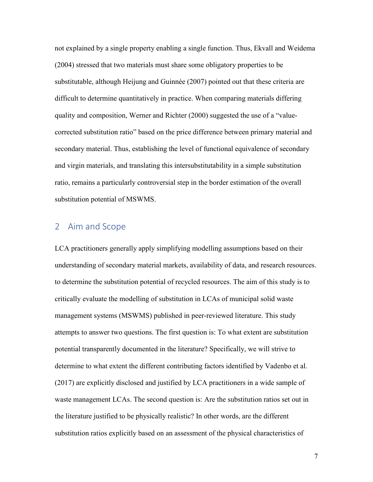not explained by a single property enabling a single function. Thus, Ekvall and Weidema (2004) stressed that two materials must share some obligatory properties to be substitutable, although Heijung and Guinnée (2007) pointed out that these criteria are difficult to determine quantitatively in practice. When comparing materials differing quality and composition, Werner and Richter (2000) suggested the use of a "valuecorrected substitution ratio" based on the price difference between primary material and secondary material. Thus, establishing the level of functional equivalence of secondary and virgin materials, and translating this intersubstitutability in a simple substitution ratio, remains a particularly controversial step in the border estimation of the overall substitution potential of MSWMS.

# 2 Aim and Scope

LCA practitioners generally apply simplifying modelling assumptions based on their understanding of secondary material markets, availability of data, and research resources. to determine the substitution potential of recycled resources. The aim of this study is to critically evaluate the modelling of substitution in LCAs of municipal solid waste management systems (MSWMS) published in peer-reviewed literature. This study attempts to answer two questions. The first question is: To what extent are substitution potential transparently documented in the literature? Specifically, we will strive to determine to what extent the different contributing factors identified by Vadenbo et al. (2017) are explicitly disclosed and justified by LCA practitioners in a wide sample of waste management LCAs. The second question is: Are the substitution ratios set out in the literature justified to be physically realistic? In other words, are the different substitution ratios explicitly based on an assessment of the physical characteristics of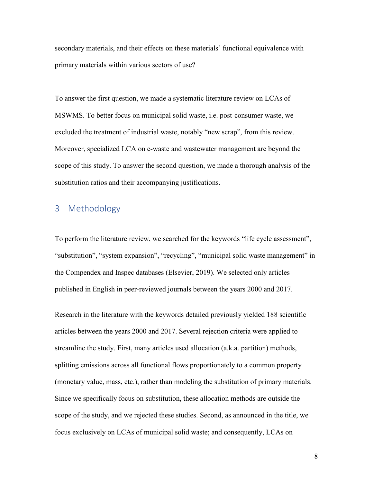secondary materials, and their effects on these materials' functional equivalence with primary materials within various sectors of use?

To answer the first question, we made a systematic literature review on LCAs of MSWMS. To better focus on municipal solid waste, i.e. post-consumer waste, we excluded the treatment of industrial waste, notably "new scrap", from this review. Moreover, specialized LCA on e-waste and wastewater management are beyond the scope of this study. To answer the second question, we made a thorough analysis of the substitution ratios and their accompanying justifications.

# 3 Methodology

To perform the literature review, we searched for the keywords "life cycle assessment", "substitution", "system expansion", "recycling", "municipal solid waste management" in the Compendex and Inspec databases (Elsevier, 2019). We selected only articles published in English in peer-reviewed journals between the years 2000 and 2017.

Research in the literature with the keywords detailed previously yielded 188 scientific articles between the years 2000 and 2017. Several rejection criteria were applied to streamline the study. First, many articles used allocation (a.k.a. partition) methods, splitting emissions across all functional flows proportionately to a common property (monetary value, mass, etc.), rather than modeling the substitution of primary materials. Since we specifically focus on substitution, these allocation methods are outside the scope of the study, and we rejected these studies. Second, as announced in the title, we focus exclusively on LCAs of municipal solid waste; and consequently, LCAs on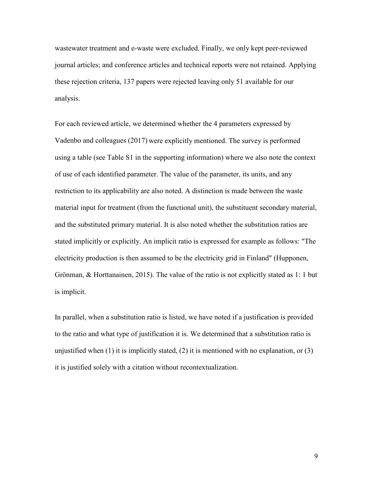wastewater treatment and e-waste were excluded. Finally, we only kept peer-reviewed journal articles; and conference articles and technical reports were not retained. Applying these rejection criteria, 137 papers were rejected leaving only 51 available for our analysis.

For each reviewed article, we determined whether the 4 parameters expressed by Vadenbo and colleagues (2017) were explicitly mentioned. The survey is performed using a table (see Table S1 in the supporting information) where we also note the context of use of each identified parameter. The value of the parameter, its units, and any restriction to its applicability are also noted. A distinction is made between the waste material input for treatment (from the functional unit), the substituent secondary material, and the substituted primary material. It is also noted whether the substitution ratios are stated implicitly or explicitly. An implicit ratio is expressed for example as follows: "The electricity production is then assumed to be the electricity grid in Finland" (Hupponen, Grönman, & Horttanainen, 2015). The value of the ratio is not explicitly stated as 1: 1 but is implicit.

In parallel, when a substitution ratio is listed, we have noted if a justification is provided to the ratio and what type of justification it is. We determined that a substitution ratio is unjustified when  $(1)$  it is implicitly stated,  $(2)$  it is mentioned with no explanation, or  $(3)$ it is justified solely with a citation without recontextualization.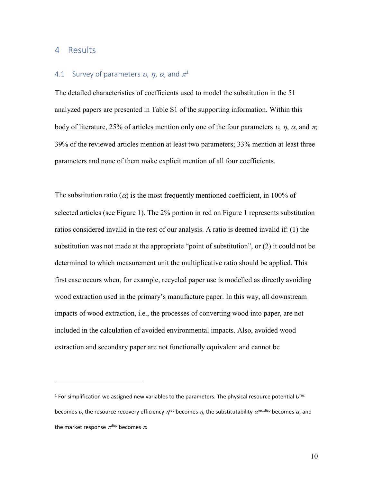## 4 Results

 $\overline{a}$ 

### 4.[1](#page-10-0) Survey of parameters  $v$ ,  $\eta$ ,  $\alpha$ , and  $\pi^1$

The detailed characteristics of coefficients used to model the substitution in the 51 analyzed papers are presented in Table S1 of the supporting information. Within this body of literature, 25% of articles mention only one of the four parameters  $v, \eta, \alpha$ , and  $\pi$ ; 39% of the reviewed articles mention at least two parameters; 33% mention at least three parameters and none of them make explicit mention of all four coefficients.

The substitution ratio ( $\alpha$ ) is the most frequently mentioned coefficient, in 100% of selected articles (see Figure 1). The 2% portion in red on Figure 1 represents substitution ratios considered invalid in the rest of our analysis. A ratio is deemed invalid if: (1) the substitution was not made at the appropriate "point of substitution", or (2) it could not be determined to which measurement unit the multiplicative ratio should be applied. This first case occurs when, for example, recycled paper use is modelled as directly avoiding wood extraction used in the primary's manufacture paper. In this way, all downstream impacts of wood extraction, i.e., the processes of converting wood into paper, are not included in the calculation of avoided environmental impacts. Also, avoided wood extraction and secondary paper are not functionally equivalent and cannot be

<span id="page-10-0"></span><sup>1</sup> For simplification we assigned new variables to the parameters. The physical resource potential *U*rec becomes  $v$ , the resource recovery efficiency  $\eta^{\text{rec}}$  becomes  $\eta$ , the substitutability  $\alpha^{\text{rec:disp}}$  becomes  $\alpha$ , and the market response  $\pi^{\text{disp}}$  becomes  $\pi$ .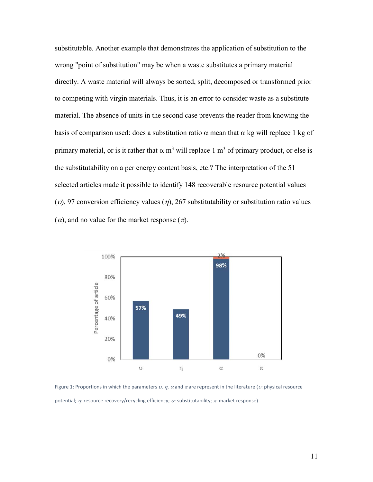substitutable. Another example that demonstrates the application of substitution to the wrong "point of substitution" may be when a waste substitutes a primary material directly. A waste material will always be sorted, split, decomposed or transformed prior to competing with virgin materials. Thus, it is an error to consider waste as a substitute material. The absence of units in the second case prevents the reader from knowing the basis of comparison used: does a substitution ratio  $\alpha$  mean that  $\alpha$  kg will replace 1 kg of primary material, or is it rather that  $\alpha$  m<sup>3</sup> will replace 1 m<sup>3</sup> of primary product, or else is the substitutability on a per energy content basis, etc.? The interpretation of the 51 selected articles made it possible to identify 148 recoverable resource potential values (*v*), 97 conversion efficiency values ( $\eta$ ), 267 substitutability or substitution ratio values  $(\alpha)$ , and no value for the market response  $(\pi)$ .



Figure 1: Proportions in which the parameters  $v$ ,  $\eta$ ,  $\alpha$  and  $\pi$ are represent in the literature ( $v$ : physical resource potential;  $\eta$ : resource recovery/recycling efficiency;  $\alpha$ : substitutability;  $\pi$ : market response)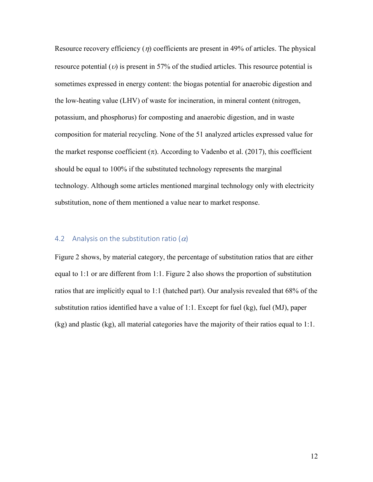Resource recovery efficiency  $(\eta)$  coefficients are present in 49% of articles. The physical resource potential ( $v$ ) is present in 57% of the studied articles. This resource potential is sometimes expressed in energy content: the biogas potential for anaerobic digestion and the low-heating value (LHV) of waste for incineration, in mineral content (nitrogen, potassium, and phosphorus) for composting and anaerobic digestion, and in waste composition for material recycling. None of the 51 analyzed articles expressed value for the market response coefficient  $(\pi)$ . According to Vadenbo et al. (2017), this coefficient should be equal to 100% if the substituted technology represents the marginal technology. Although some articles mentioned marginal technology only with electricity substitution, none of them mentioned a value near to market response.

### 4.2 Analysis on the substitution ratio  $(\alpha)$

Figure 2 shows, by material category, the percentage of substitution ratios that are either equal to 1:1 or are different from 1:1. Figure 2 also shows the proportion of substitution ratios that are implicitly equal to 1:1 (hatched part). Our analysis revealed that 68% of the substitution ratios identified have a value of 1:1. Except for fuel (kg), fuel (MJ), paper (kg) and plastic (kg), all material categories have the majority of their ratios equal to 1:1.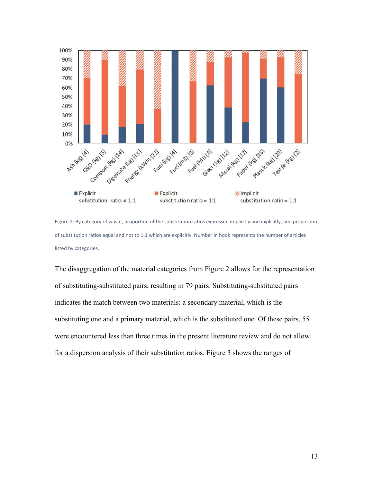

Figure 2: By category of waste, proportion of the substitution ratios expressed implicitly and explicitly, and proportion of substitution ratios equal and not to 1:1 which are explicitly. Number in hook represents the number of articles listed by categories.

The disaggregation of the material categories from Figure 2 allows for the representation of substituting-substituted pairs, resulting in 79 pairs. Substituting-substituted pairs indicates the match between two materials: a secondary material, which is the substituting one and a primary material, which is the substituted one. Of these pairs, 55 were encountered less than three times in the present literature review and do not allow for a dispersion analysis of their substitution ratios. Figure 3 shows the ranges of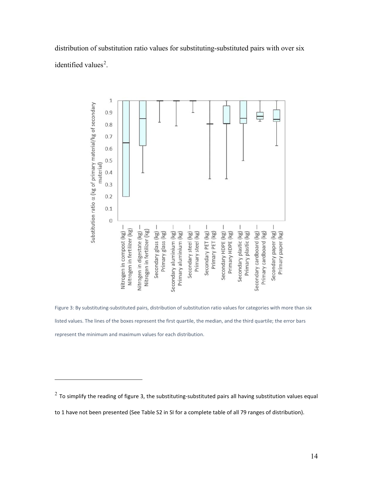distribution of substitution ratio values for substituting-substituted pairs with over six identified values<sup>[2](#page-14-0)</sup>.



Figure 3: By substituting-substituted pairs, distribution of substitution ratio values for categories with more than six listed values. The lines of the boxes represent the first quartile, the median, and the third quartile; the error bars represent the minimum and maximum values for each distribution.

 $\overline{a}$ 

<span id="page-14-0"></span> $^{2}$  To simplify the reading of figure 3, the substituting-substituted pairs all having substitution values equal

to 1 have not been presented (See Table S2 in SI for a complete table of all 79 ranges of distribution).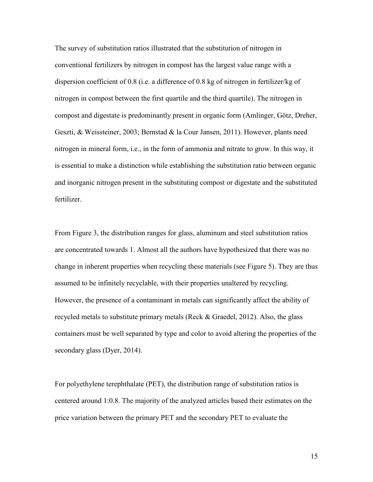The survey of substitution ratios illustrated that the substitution of nitrogen in conventional fertilizers by nitrogen in compost has the largest value range with a dispersion coefficient of 0.8 (i.e. a difference of 0.8 kg of nitrogen in fertilizer/kg of nitrogen in compost between the first quartile and the third quartile). The nitrogen in compost and digestate is predominantly present in organic form (Amlinger, Götz, Dreher, Geszti, & Weissteiner, 2003; Bernstad & la Cour Jansen, 2011). However, plants need nitrogen in mineral form, i.e., in the form of ammonia and nitrate to grow. In this way, it is essential to make a distinction while establishing the substitution ratio between organic and inorganic nitrogen present in the substituting compost or digestate and the substituted fertilizer.

From Figure 3, the distribution ranges for glass, aluminum and steel substitution ratios are concentrated towards 1. Almost all the authors have hypothesized that there was no change in inherent properties when recycling these materials (see Figure 5). They are thus assumed to be infinitely recyclable, with their properties unaltered by recycling. However, the presence of a contaminant in metals can significantly affect the ability of recycled metals to substitute primary metals (Reck & Graedel, 2012). Also, the glass containers must be well separated by type and color to avoid altering the properties of the secondary glass (Dyer, 2014).

For polyethylene terephthalate (PET), the distribution range of substitution ratios is centered around 1:0.8. The majority of the analyzed articles based their estimates on the price variation between the primary PET and the secondary PET to evaluate the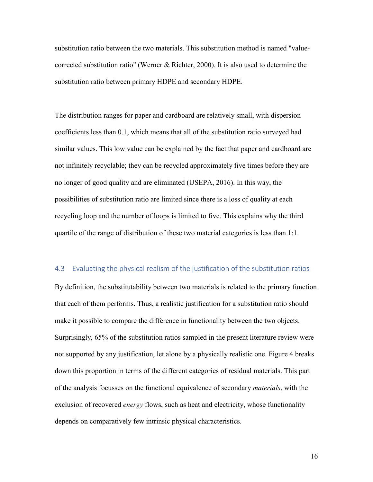substitution ratio between the two materials. This substitution method is named "valuecorrected substitution ratio" (Werner & Richter, 2000). It is also used to determine the substitution ratio between primary HDPE and secondary HDPE.

The distribution ranges for paper and cardboard are relatively small, with dispersion coefficients less than 0.1, which means that all of the substitution ratio surveyed had similar values. This low value can be explained by the fact that paper and cardboard are not infinitely recyclable; they can be recycled approximately five times before they are no longer of good quality and are eliminated (USEPA, 2016). In this way, the possibilities of substitution ratio are limited since there is a loss of quality at each recycling loop and the number of loops is limited to five. This explains why the third quartile of the range of distribution of these two material categories is less than 1:1.

#### 4.3 Evaluating the physical realism of the justification of the substitution ratios

By definition, the substitutability between two materials is related to the primary function that each of them performs. Thus, a realistic justification for a substitution ratio should make it possible to compare the difference in functionality between the two objects. Surprisingly, 65% of the substitution ratios sampled in the present literature review were not supported by any justification, let alone by a physically realistic one. Figure 4 breaks down this proportion in terms of the different categories of residual materials. This part of the analysis focusses on the functional equivalence of secondary *materials*, with the exclusion of recovered *energy* flows, such as heat and electricity, whose functionality depends on comparatively few intrinsic physical characteristics.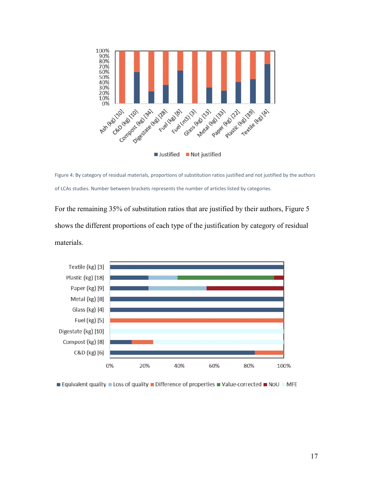

Figure 4: By category of residual materials, proportions of substitution ratios justified and not justified by the authors of LCAs studies. Number between brackets represents the number of articles listed by categories.

For the remaining 35% of substitution ratios that are justified by their authors, Figure 5 shows the different proportions of each type of the justification by category of residual materials.



**■ Equivalent quality ■ Loss of quality ■ Difference of properties ■ Value-corrected ■ NoU ■ MFE**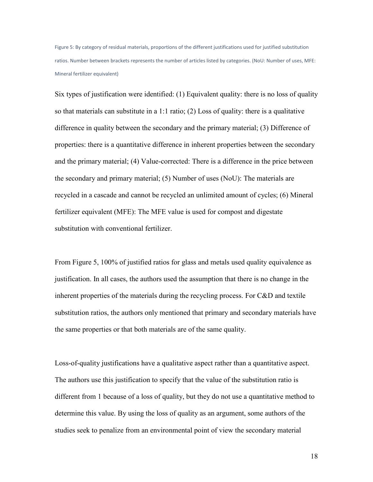Figure 5: By category of residual materials, proportions of the different justifications used for justified substitution ratios. Number between brackets represents the number of articles listed by categories. (NoU: Number of uses, MFE: Mineral fertilizer equivalent)

Six types of justification were identified: (1) Equivalent quality: there is no loss of quality so that materials can substitute in a  $1:1$  ratio; (2) Loss of quality: there is a qualitative difference in quality between the secondary and the primary material; (3) Difference of properties: there is a quantitative difference in inherent properties between the secondary and the primary material; (4) Value-corrected: There is a difference in the price between the secondary and primary material; (5) Number of uses (NoU): The materials are recycled in a cascade and cannot be recycled an unlimited amount of cycles; (6) Mineral fertilizer equivalent (MFE): The MFE value is used for compost and digestate substitution with conventional fertilizer.

From Figure 5, 100% of justified ratios for glass and metals used quality equivalence as justification. In all cases, the authors used the assumption that there is no change in the inherent properties of the materials during the recycling process. For C&D and textile substitution ratios, the authors only mentioned that primary and secondary materials have the same properties or that both materials are of the same quality.

Loss-of-quality justifications have a qualitative aspect rather than a quantitative aspect. The authors use this justification to specify that the value of the substitution ratio is different from 1 because of a loss of quality, but they do not use a quantitative method to determine this value. By using the loss of quality as an argument, some authors of the studies seek to penalize from an environmental point of view the secondary material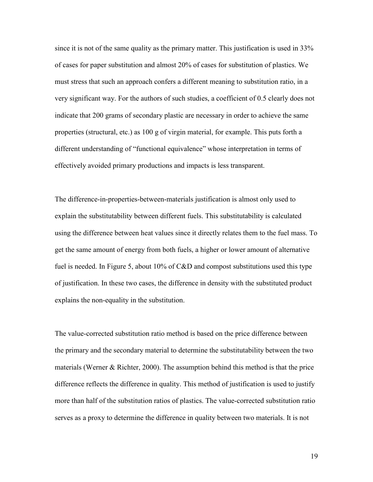since it is not of the same quality as the primary matter. This justification is used in 33% of cases for paper substitution and almost 20% of cases for substitution of plastics. We must stress that such an approach confers a different meaning to substitution ratio, in a very significant way. For the authors of such studies, a coefficient of 0.5 clearly does not indicate that 200 grams of secondary plastic are necessary in order to achieve the same properties (structural, etc.) as 100 g of virgin material, for example. This puts forth a different understanding of "functional equivalence" whose interpretation in terms of effectively avoided primary productions and impacts is less transparent.

The difference-in-properties-between-materials justification is almost only used to explain the substitutability between different fuels. This substitutability is calculated using the difference between heat values since it directly relates them to the fuel mass. To get the same amount of energy from both fuels, a higher or lower amount of alternative fuel is needed. In Figure 5, about 10% of C&D and compost substitutions used this type of justification. In these two cases, the difference in density with the substituted product explains the non-equality in the substitution.

The value-corrected substitution ratio method is based on the price difference between the primary and the secondary material to determine the substitutability between the two materials (Werner & Richter, 2000). The assumption behind this method is that the price difference reflects the difference in quality. This method of justification is used to justify more than half of the substitution ratios of plastics. The value-corrected substitution ratio serves as a proxy to determine the difference in quality between two materials. It is not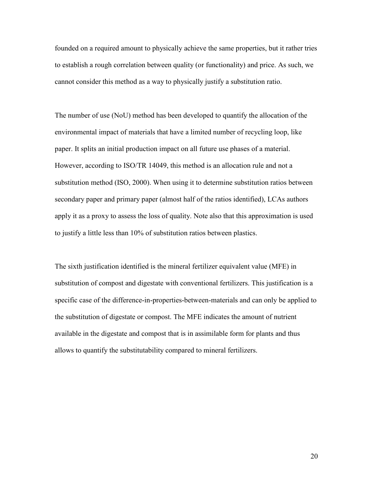founded on a required amount to physically achieve the same properties, but it rather tries to establish a rough correlation between quality (or functionality) and price. As such, we cannot consider this method as a way to physically justify a substitution ratio.

The number of use (NoU) method has been developed to quantify the allocation of the environmental impact of materials that have a limited number of recycling loop, like paper. It splits an initial production impact on all future use phases of a material. However, according to ISO/TR 14049, this method is an allocation rule and not a substitution method (ISO, 2000). When using it to determine substitution ratios between secondary paper and primary paper (almost half of the ratios identified), LCAs authors apply it as a proxy to assess the loss of quality. Note also that this approximation is used to justify a little less than 10% of substitution ratios between plastics.

The sixth justification identified is the mineral fertilizer equivalent value (MFE) in substitution of compost and digestate with conventional fertilizers. This justification is a specific case of the difference-in-properties-between-materials and can only be applied to the substitution of digestate or compost. The MFE indicates the amount of nutrient available in the digestate and compost that is in assimilable form for plants and thus allows to quantify the substitutability compared to mineral fertilizers.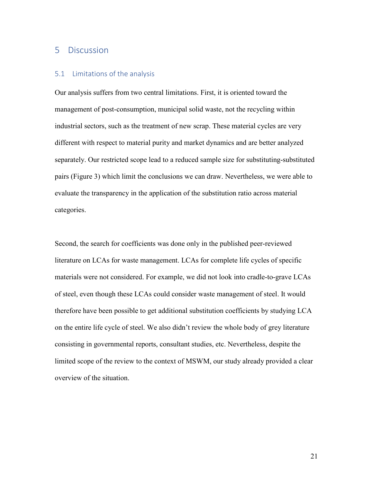## 5 Discussion

#### 5.1 Limitations of the analysis

Our analysis suffers from two central limitations. First, it is oriented toward the management of post-consumption, municipal solid waste, not the recycling within industrial sectors, such as the treatment of new scrap. These material cycles are very different with respect to material purity and market dynamics and are better analyzed separately. Our restricted scope lead to a reduced sample size for substituting-substituted pairs (Figure 3) which limit the conclusions we can draw. Nevertheless, we were able to evaluate the transparency in the application of the substitution ratio across material categories.

Second, the search for coefficients was done only in the published peer-reviewed literature on LCAs for waste management. LCAs for complete life cycles of specific materials were not considered. For example, we did not look into cradle-to-grave LCAs of steel, even though these LCAs could consider waste management of steel. It would therefore have been possible to get additional substitution coefficients by studying LCA on the entire life cycle of steel. We also didn't review the whole body of grey literature consisting in governmental reports, consultant studies, etc. Nevertheless, despite the limited scope of the review to the context of MSWM, our study already provided a clear overview of the situation.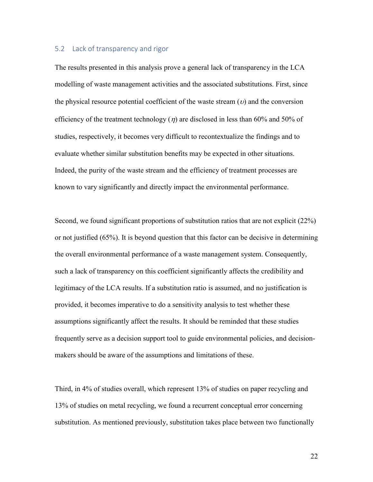### 5.2 Lack of transparency and rigor

The results presented in this analysis prove a general lack of transparency in the LCA modelling of waste management activities and the associated substitutions. First, since the physical resource potential coefficient of the waste stream  $(v)$  and the conversion efficiency of the treatment technology  $(\eta)$  are disclosed in less than 60% and 50% of studies, respectively, it becomes very difficult to recontextualize the findings and to evaluate whether similar substitution benefits may be expected in other situations. Indeed, the purity of the waste stream and the efficiency of treatment processes are known to vary significantly and directly impact the environmental performance.

Second, we found significant proportions of substitution ratios that are not explicit (22%) or not justified (65%). It is beyond question that this factor can be decisive in determining the overall environmental performance of a waste management system. Consequently, such a lack of transparency on this coefficient significantly affects the credibility and legitimacy of the LCA results. If a substitution ratio is assumed, and no justification is provided, it becomes imperative to do a sensitivity analysis to test whether these assumptions significantly affect the results. It should be reminded that these studies frequently serve as a decision support tool to guide environmental policies, and decisionmakers should be aware of the assumptions and limitations of these.

Third, in 4% of studies overall, which represent 13% of studies on paper recycling and 13% of studies on metal recycling, we found a recurrent conceptual error concerning substitution. As mentioned previously, substitution takes place between two functionally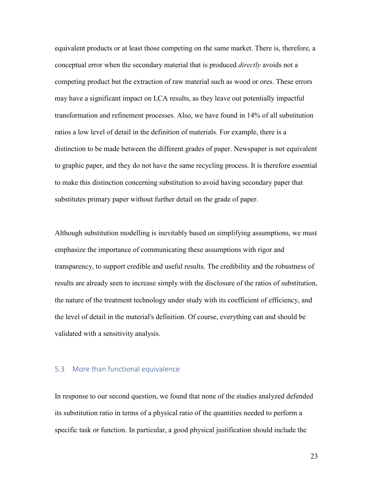equivalent products or at least those competing on the same market. There is, therefore, a conceptual error when the secondary material that is produced *directly* avoids not a competing product but the extraction of raw material such as wood or ores. These errors may have a significant impact on LCA results, as they leave out potentially impactful transformation and refinement processes. Also, we have found in 14% of all substitution ratios a low level of detail in the definition of materials. For example, there is a distinction to be made between the different grades of paper. Newspaper is not equivalent to graphic paper, and they do not have the same recycling process. It is therefore essential to make this distinction concerning substitution to avoid having secondary paper that substitutes primary paper without further detail on the grade of paper.

Although substitution modelling is inevitably based on simplifying assumptions, we must emphasize the importance of communicating these assumptions with rigor and transparency, to support credible and useful results. The credibility and the robustness of results are already seen to increase simply with the disclosure of the ratios of substitution, the nature of the treatment technology under study with its coefficient of efficiency, and the level of detail in the material's definition. Of course, everything can and should be validated with a sensitivity analysis.

### 5.3 More than functional equivalence

In response to our second question, we found that none of the studies analyzed defended its substitution ratio in terms of a physical ratio of the quantities needed to perform a specific task or function. In particular, a good physical justification should include the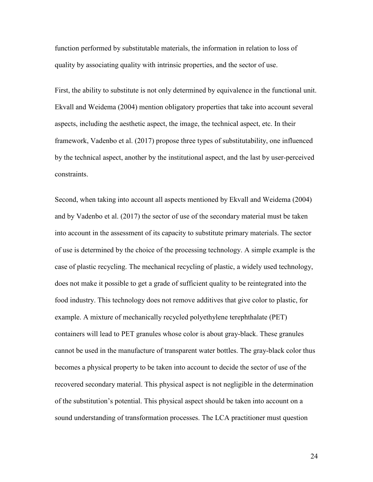function performed by substitutable materials, the information in relation to loss of quality by associating quality with intrinsic properties, and the sector of use.

First, the ability to substitute is not only determined by equivalence in the functional unit. Ekvall and Weidema (2004) mention obligatory properties that take into account several aspects, including the aesthetic aspect, the image, the technical aspect, etc. In their framework, Vadenbo et al. (2017) propose three types of substitutability, one influenced by the technical aspect, another by the institutional aspect, and the last by user-perceived constraints.

Second, when taking into account all aspects mentioned by Ekvall and Weidema (2004) and by Vadenbo et al. (2017) the sector of use of the secondary material must be taken into account in the assessment of its capacity to substitute primary materials. The sector of use is determined by the choice of the processing technology. A simple example is the case of plastic recycling. The mechanical recycling of plastic, a widely used technology, does not make it possible to get a grade of sufficient quality to be reintegrated into the food industry. This technology does not remove additives that give color to plastic, for example. A mixture of mechanically recycled polyethylene terephthalate (PET) containers will lead to PET granules whose color is about gray-black. These granules cannot be used in the manufacture of transparent water bottles. The gray-black color thus becomes a physical property to be taken into account to decide the sector of use of the recovered secondary material. This physical aspect is not negligible in the determination of the substitution's potential. This physical aspect should be taken into account on a sound understanding of transformation processes. The LCA practitioner must question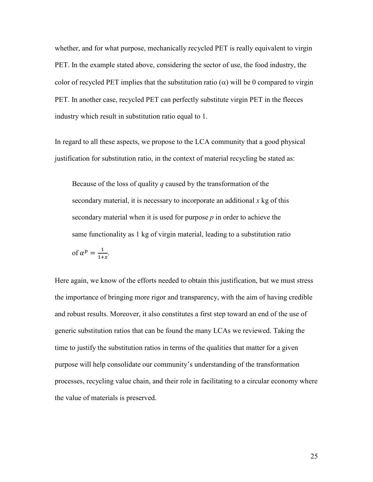whether, and for what purpose, mechanically recycled PET is really equivalent to virgin PET. In the example stated above, considering the sector of use, the food industry, the color of recycled PET implies that the substitution ratio  $(\alpha)$  will be 0 compared to virgin PET. In another case, recycled PET can perfectly substitute virgin PET in the fleeces industry which result in substitution ratio equal to 1.

In regard to all these aspects, we propose to the LCA community that a good physical justification for substitution ratio, in the context of material recycling be stated as:

Because of the loss of quality *q* caused by the transformation of the secondary material, it is necessary to incorporate an additional *x* kg of this secondary material when it is used for purpose *p* in order to achieve the same functionality as 1 kg of virgin material, leading to a substitution ratio of  $\alpha^p = \frac{1}{1+x}$ .

Here again, we know of the efforts needed to obtain this justification, but we must stress the importance of bringing more rigor and transparency, with the aim of having credible and robust results. Moreover, it also constitutes a first step toward an end of the use of generic substitution ratios that can be found the many LCAs we reviewed. Taking the time to justify the substitution ratios in terms of the qualities that matter for a given purpose will help consolidate our community's understanding of the transformation processes, recycling value chain, and their role in facilitating to a circular economy where the value of materials is preserved.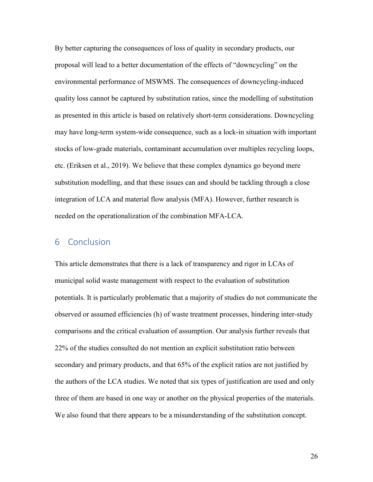By better capturing the consequences of loss of quality in secondary products, our proposal will lead to a better documentation of the effects of "downcycling" on the environmental performance of MSWMS. The consequences of downcycling-induced quality loss cannot be captured by substitution ratios, since the modelling of substitution as presented in this article is based on relatively short-term considerations. Downcycling may have long-term system-wide consequence, such as a lock-in situation with important stocks of low-grade materials, contaminant accumulation over multiples recycling loops, etc. (Eriksen et al., 2019). We believe that these complex dynamics go beyond mere substitution modelling, and that these issues can and should be tackling through a close integration of LCA and material flow analysis (MFA). However, further research is needed on the operationalization of the combination MFA-LCA.

## 6 Conclusion

This article demonstrates that there is a lack of transparency and rigor in LCAs of municipal solid waste management with respect to the evaluation of substitution potentials. It is particularly problematic that a majority of studies do not communicate the observed or assumed efficiencies (h) of waste treatment processes, hindering inter-study comparisons and the critical evaluation of assumption. Our analysis further reveals that 22% of the studies consulted do not mention an explicit substitution ratio between secondary and primary products, and that 65% of the explicit ratios are not justified by the authors of the LCA studies. We noted that six types of justification are used and only three of them are based in one way or another on the physical properties of the materials. We also found that there appears to be a misunderstanding of the substitution concept.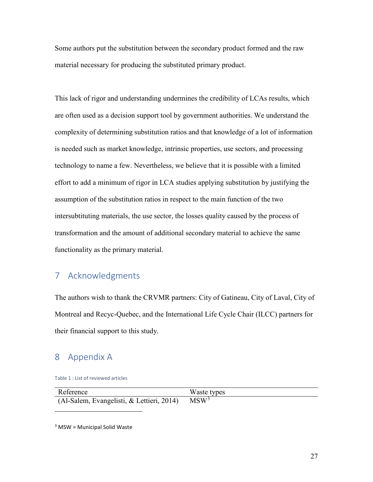Some authors put the substitution between the secondary product formed and the raw material necessary for producing the substituted primary product.

This lack of rigor and understanding undermines the credibility of LCAs results, which are often used as a decision support tool by government authorities. We understand the complexity of determining substitution ratios and that knowledge of a lot of information is needed such as market knowledge, intrinsic properties, use sectors, and processing technology to name a few. Nevertheless, we believe that it is possible with a limited effort to add a minimum of rigor in LCA studies applying substitution by justifying the assumption of the substitution ratios in respect to the main function of the two intersubtituting materials, the use sector, the losses quality caused by the process of transformation and the amount of additional secondary material to achieve the same functionality as the primary material.

# 7 Acknowledgments

The authors wish to thank the CRVMR partners: City of Gatineau, City of Laval, City of Montreal and Recyc-Quebec, and the International Life Cycle Chair (ILCC) partners for their financial support to this study.

## 8 Appendix A

 $\overline{a}$ 

Table 1 : List of reviewed articles

| Reference                                 | Waste types |
|-------------------------------------------|-------------|
| (Al-Salem, Evangelisti, & Lettieri, 2014) | $MSW^3$     |

<span id="page-27-0"></span> $3$  MSW = Municipal Solid Waste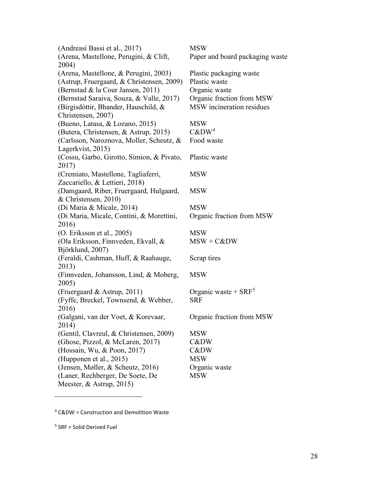(Andreasi Bassi et al., 2017) MSW (Arena, Mastellone, Perugini, & Clift, 2004) (Arena, Mastellone, & Perugini, 2003) Plastic packaging waste (Astrup, Fruergaard, & Christensen, 2009) Plastic waste (Bernstad & la Cour Jansen, 2011) Organic waste (Bernstad Saraiva, Souza, & Valle, 2017) Organic fraction from MSW (Birgisdóttir, Bhander, Hauschild, & Christensen, 2007) (Bueno, Latasa, & Lozano, 2015) MSW (Butera, Christensen, & Astrup, 2015) C&DW[4](#page-28-0) (Carlsson, Naroznova, Moller, Scheutz, & Lagerkvist, 2015) (Cossu, Garbo, Girotto, Simion, & Pivato, 2017) (Cremiato, Mastellone, Tagliaferri, Zaccariello, & Lettieri, 2018) (Damgaard, Riber, Fruergaard, Hulgaard, & Christensen, 2010) (Di Maria & Micale, 2014) MSW (Di Maria, Micale, Contini, & Morettini, 2016) (O. Eriksson et al., 2005) MSW (Ola Eriksson, Finnveden, Ekvall, & Björklund, 2007) (Feraldi, Cashman, Huff, & Raahauge, 2013) (Finnveden, Johansson, Lind, & Moberg, 2005) (Fruergaard & Astrup, 2011) Organic waste +  $SRF^5$  $SRF^5$ (Fyffe, Breckel, Townsend, & Webber, 2016) (Galgani, van der Voet, & Korevaar, 2014) (Gentil, Clavreul, & Christensen, 2009) MSW (Ghose, Pizzol, & McLaren, 2017) C&DW (Hossain, Wu, & Poon, 2017) C&DW (Hupponen et al., 2015) MSW (Jensen, Møller, & Scheutz, 2016) Organic waste (Laner, Rechberger, De Soete, De Meester, & Astrup, 2015)

Paper and board packaging waste MSW incineration residues Food waste Plastic waste MSW MSW Organic fraction from MSW MSW + C&DW Scrap tires **MSW** SRF Organic fraction from MSW MSW

<span id="page-28-0"></span><sup>4</sup> C&DW = Construction and Demolition Waste

<span id="page-28-1"></span> $5$  SRF = Solid Derived Fuel

 $\overline{a}$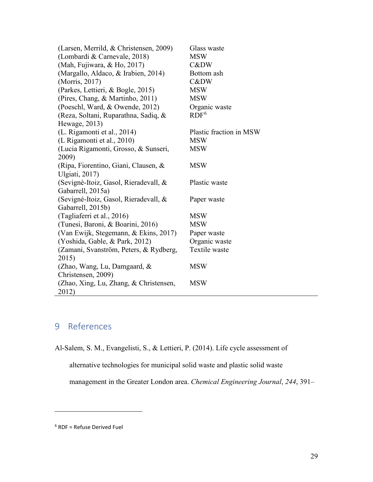| (Larsen, Merrild, & Christensen, 2009) | Glass waste             |
|----------------------------------------|-------------------------|
| (Lombardi & Carnevale, 2018)           | <b>MSW</b>              |
| (Mah, Fujiwara, & Ho, 2017)            | C&DW                    |
| (Margallo, Aldaco, & Irabien, 2014)    | Bottom ash              |
| (Morris, 2017)                         | C&DW                    |
| (Parkes, Lettieri, & Bogle, 2015)      | <b>MSW</b>              |
| (Pires, Chang, & Martinho, 2011)       | <b>MSW</b>              |
| (Poeschl, Ward, & Owende, 2012)        | Organic waste           |
| (Reza, Soltani, Ruparathna, Sadiq, &   | RDF <sup>6</sup>        |
| Hewage, 2013)                          |                         |
| (L. Rigamonti et al., 2014)            | Plastic fraction in MSW |
| (L Rigamonti et al., 2010)             | <b>MSW</b>              |
| (Lucia Rigamonti, Grosso, & Sunseri,   | <b>MSW</b>              |
| 2009)                                  |                         |
| (Ripa, Fiorentino, Giani, Clausen, &   | <b>MSW</b>              |
| Ulgiati, 2017)                         |                         |
| (Sevigné-Itoiz, Gasol, Rieradevall, &  | Plastic waste           |
| Gabarrell, 2015a)                      |                         |
| (Sevigné-Itoiz, Gasol, Rieradevall, &  | Paper waste             |
| Gabarrell, 2015b)                      |                         |
| (Tagliaferri et al., 2016)             | <b>MSW</b>              |
| (Tunesi, Baroni, & Boarini, 2016)      | <b>MSW</b>              |
| (Van Ewijk, Stegemann, & Ekins, 2017)  | Paper waste             |
| (Yoshida, Gable, & Park, 2012)         | Organic waste           |
| (Zamani, Svanström, Peters, & Rydberg, | Textile waste           |
| 2015)                                  |                         |
| (Zhao, Wang, Lu, Damgaard, $\&$        | <b>MSW</b>              |
| Christensen, 2009)                     |                         |
| (Zhao, Xing, Lu, Zhang, & Christensen, | <b>MSW</b>              |
| 2012)                                  |                         |

# 9 References

Al-Salem, S. M., Evangelisti, S., & Lettieri, P. (2014). Life cycle assessment of

alternative technologies for municipal solid waste and plastic solid waste

management in the Greater London area. *Chemical Engineering Journal*, *244*, 391–

 $\overline{a}$ 

<span id="page-29-0"></span><sup>6</sup> RDF = Refuse Derived Fuel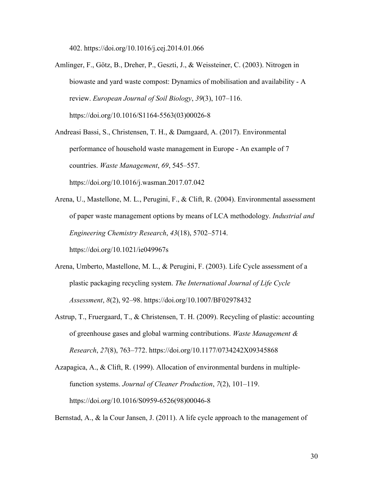402. https://doi.org/10.1016/j.cej.2014.01.066

Amlinger, F., Götz, B., Dreher, P., Geszti, J., & Weissteiner, C. (2003). Nitrogen in biowaste and yard waste compost: Dynamics of mobilisation and availability - A review. *European Journal of Soil Biology*, *39*(3), 107–116. https://doi.org/10.1016/S1164-5563(03)00026-8

Andreasi Bassi, S., Christensen, T. H., & Damgaard, A. (2017). Environmental performance of household waste management in Europe - An example of 7 countries. *Waste Management*, *69*, 545–557. https://doi.org/10.1016/j.wasman.2017.07.042

Arena, U., Mastellone, M. L., Perugini, F., & Clift, R. (2004). Environmental assessment of paper waste management options by means of LCA methodology. *Industrial and Engineering Chemistry Research*, *43*(18), 5702–5714.

https://doi.org/10.1021/ie049967s

- Arena, Umberto, Mastellone, M. L., & Perugini, F. (2003). Life Cycle assessment of a plastic packaging recycling system. *The International Journal of Life Cycle Assessment*, *8*(2), 92–98. https://doi.org/10.1007/BF02978432
- Astrup, T., Fruergaard, T., & Christensen, T. H. (2009). Recycling of plastic: accounting of greenhouse gases and global warming contributions. *Waste Management & Research*, *27*(8), 763–772. https://doi.org/10.1177/0734242X09345868
- Azapagica, A., & Clift, R. (1999). Allocation of environmental burdens in multiplefunction systems. *Journal of Cleaner Production*, *7*(2), 101–119. https://doi.org/10.1016/S0959-6526(98)00046-8

Bernstad, A., & la Cour Jansen, J. (2011). A life cycle approach to the management of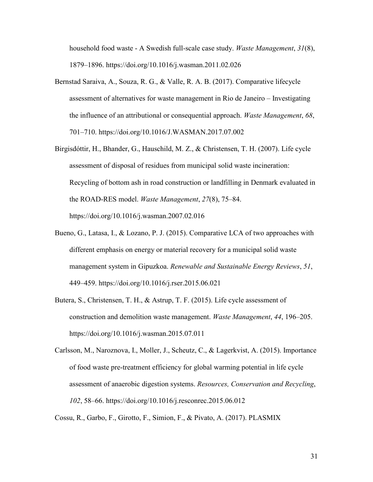household food waste - A Swedish full-scale case study. *Waste Management*, *31*(8), 1879–1896. https://doi.org/10.1016/j.wasman.2011.02.026

- Bernstad Saraiva, A., Souza, R. G., & Valle, R. A. B. (2017). Comparative lifecycle assessment of alternatives for waste management in Rio de Janeiro – Investigating the influence of an attributional or consequential approach. *Waste Management*, *68*, 701–710. https://doi.org/10.1016/J.WASMAN.2017.07.002
- Birgisdóttir, H., Bhander, G., Hauschild, M. Z., & Christensen, T. H. (2007). Life cycle assessment of disposal of residues from municipal solid waste incineration: Recycling of bottom ash in road construction or landfilling in Denmark evaluated in the ROAD-RES model. *Waste Management*, *27*(8), 75–84. https://doi.org/10.1016/j.wasman.2007.02.016
- Bueno, G., Latasa, I., & Lozano, P. J. (2015). Comparative LCA of two approaches with different emphasis on energy or material recovery for a municipal solid waste management system in Gipuzkoa. *Renewable and Sustainable Energy Reviews*, *51*, 449–459. https://doi.org/10.1016/j.rser.2015.06.021
- Butera, S., Christensen, T. H., & Astrup, T. F. (2015). Life cycle assessment of construction and demolition waste management. *Waste Management*, *44*, 196–205. https://doi.org/10.1016/j.wasman.2015.07.011
- Carlsson, M., Naroznova, I., Moller, J., Scheutz, C., & Lagerkvist, A. (2015). Importance of food waste pre-treatment efficiency for global warming potential in life cycle assessment of anaerobic digestion systems. *Resources, Conservation and Recycling*, *102*, 58–66. https://doi.org/10.1016/j.resconrec.2015.06.012

Cossu, R., Garbo, F., Girotto, F., Simion, F., & Pivato, A. (2017). PLASMIX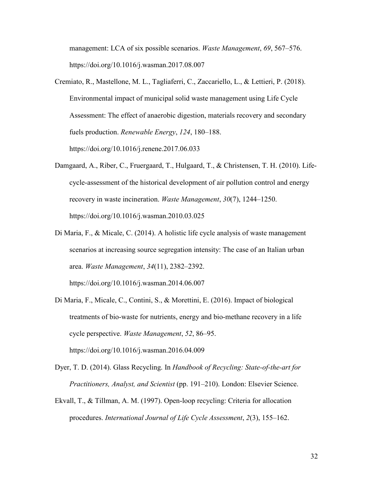management: LCA of six possible scenarios. *Waste Management*, *69*, 567–576. https://doi.org/10.1016/j.wasman.2017.08.007

- Cremiato, R., Mastellone, M. L., Tagliaferri, C., Zaccariello, L., & Lettieri, P. (2018). Environmental impact of municipal solid waste management using Life Cycle Assessment: The effect of anaerobic digestion, materials recovery and secondary fuels production. *Renewable Energy*, *124*, 180–188. https://doi.org/10.1016/j.renene.2017.06.033
- Damgaard, A., Riber, C., Fruergaard, T., Hulgaard, T., & Christensen, T. H. (2010). Lifecycle-assessment of the historical development of air pollution control and energy recovery in waste incineration. *Waste Management*, *30*(7), 1244–1250. https://doi.org/10.1016/j.wasman.2010.03.025
- Di Maria, F., & Micale, C. (2014). A holistic life cycle analysis of waste management scenarios at increasing source segregation intensity: The case of an Italian urban area. *Waste Management*, *34*(11), 2382–2392.

https://doi.org/10.1016/j.wasman.2014.06.007

Di Maria, F., Micale, C., Contini, S., & Morettini, E. (2016). Impact of biological treatments of bio-waste for nutrients, energy and bio-methane recovery in a life cycle perspective. *Waste Management*, *52*, 86–95. https://doi.org/10.1016/j.wasman.2016.04.009

Dyer, T. D. (2014). Glass Recycling. In *Handbook of Recycling: State-of-the-art for Practitioners, Analyst, and Scientist* (pp. 191–210). London: Elsevier Science.

Ekvall, T., & Tillman, A. M. (1997). Open-loop recycling: Criteria for allocation procedures. *International Journal of Life Cycle Assessment*, *2*(3), 155–162.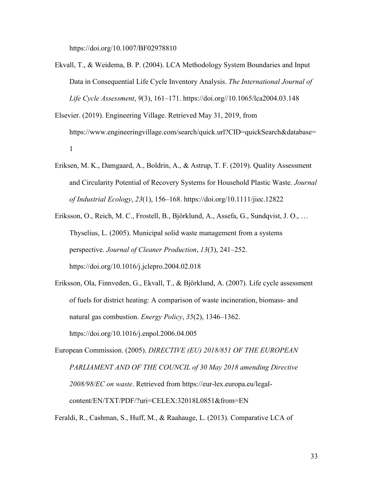https://doi.org/10.1007/BF02978810

- Ekvall, T., & Weidema, B. P. (2004). LCA Methodology System Boundaries and Input Data in Consequential Life Cycle Inventory Analysis. *The International Journal of Life Cycle Assessment*, *9*(3), 161–171. https://doi.org//10.1065/lca2004.03.148
- Elsevier. (2019). Engineering Village. Retrieved May 31, 2019, from https://www.engineeringvillage.com/search/quick.url?CID=quickSearch&database= 1
- Eriksen, M. K., Damgaard, A., Boldrin, A., & Astrup, T. F. (2019). Quality Assessment and Circularity Potential of Recovery Systems for Household Plastic Waste. *Journal of Industrial Ecology*, *23*(1), 156–168. https://doi.org/10.1111/jiec.12822
- Eriksson, O., Reich, M. C., Frostell, B., Björklund, A., Assefa, G., Sundqvist, J. O., … Thyselius, L. (2005). Municipal solid waste management from a systems perspective. *Journal of Cleaner Production*, *13*(3), 241–252. https://doi.org/10.1016/j.jclepro.2004.02.018
- Eriksson, Ola, Finnveden, G., Ekvall, T., & Björklund, A. (2007). Life cycle assessment of fuels for district heating: A comparison of waste incineration, biomass- and natural gas combustion. *Energy Policy*, *35*(2), 1346–1362. https://doi.org/10.1016/j.enpol.2006.04.005
- European Commission. (2005). *DIRECTIVE (EU) 2018/851 OF THE EUROPEAN PARLIAMENT AND OF THE COUNCIL of 30 May 2018 amending Directive 2008/98/EC on waste*. Retrieved from https://eur-lex.europa.eu/legalcontent/EN/TXT/PDF/?uri=CELEX:32018L0851&from=EN

Feraldi, R., Cashman, S., Huff, M., & Raahauge, L. (2013). Comparative LCA of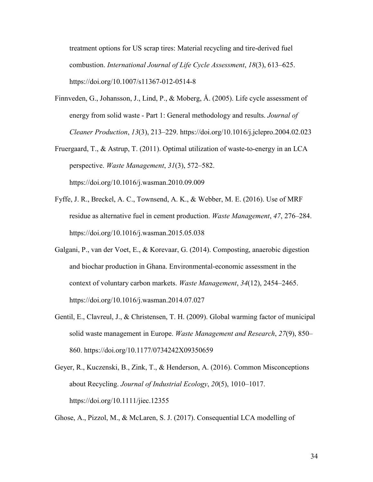treatment options for US scrap tires: Material recycling and tire-derived fuel combustion. *International Journal of Life Cycle Assessment*, *18*(3), 613–625. https://doi.org/10.1007/s11367-012-0514-8

- Finnveden, G., Johansson, J., Lind, P., & Moberg, Å. (2005). Life cycle assessment of energy from solid waste - Part 1: General methodology and results. *Journal of Cleaner Production*, *13*(3), 213–229. https://doi.org/10.1016/j.jclepro.2004.02.023
- Fruergaard, T., & Astrup, T. (2011). Optimal utilization of waste-to-energy in an LCA perspective. *Waste Management*, *31*(3), 572–582. https://doi.org/10.1016/j.wasman.2010.09.009
- Fyffe, J. R., Breckel, A. C., Townsend, A. K., & Webber, M. E. (2016). Use of MRF residue as alternative fuel in cement production. *Waste Management*, *47*, 276–284. https://doi.org/10.1016/j.wasman.2015.05.038
- Galgani, P., van der Voet, E., & Korevaar, G. (2014). Composting, anaerobic digestion and biochar production in Ghana. Environmental-economic assessment in the context of voluntary carbon markets. *Waste Management*, *34*(12), 2454–2465. https://doi.org/10.1016/j.wasman.2014.07.027
- Gentil, E., Clavreul, J., & Christensen, T. H. (2009). Global warming factor of municipal solid waste management in Europe. *Waste Management and Research*, *27*(9), 850– 860. https://doi.org/10.1177/0734242X09350659
- Geyer, R., Kuczenski, B., Zink, T., & Henderson, A. (2016). Common Misconceptions about Recycling. *Journal of Industrial Ecology*, *20*(5), 1010–1017. https://doi.org/10.1111/jiec.12355

Ghose, A., Pizzol, M., & McLaren, S. J. (2017). Consequential LCA modelling of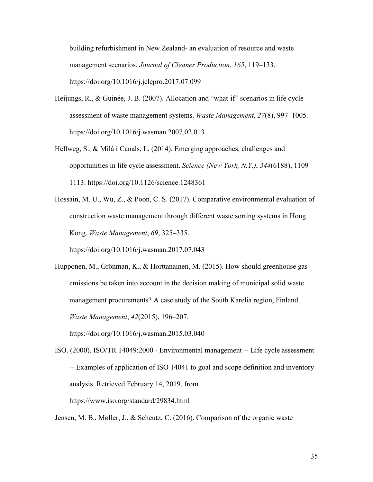building refurbishment in New Zealand- an evaluation of resource and waste management scenarios. *Journal of Cleaner Production*, *165*, 119–133. https://doi.org/10.1016/j.jclepro.2017.07.099

- Heijungs, R., & Guinée, J. B. (2007). Allocation and "what-if" scenarios in life cycle assessment of waste management systems. *Waste Management*, *27*(8), 997–1005. https://doi.org/10.1016/j.wasman.2007.02.013
- Hellweg, S., & Milà i Canals, L. (2014). Emerging approaches, challenges and opportunities in life cycle assessment. *Science (New York, N.Y.)*, *344*(6188), 1109– 1113. https://doi.org/10.1126/science.1248361
- Hossain, M. U., Wu, Z., & Poon, C. S. (2017). Comparative environmental evaluation of construction waste management through different waste sorting systems in Hong Kong. *Waste Management*, *69*, 325–335.

https://doi.org/10.1016/j.wasman.2017.07.043

Hupponen, M., Grönman, K., & Horttanainen, M. (2015). How should greenhouse gas emissions be taken into account in the decision making of municipal solid waste management procurements? A case study of the South Karelia region, Finland. *Waste Management*, *42*(2015), 196–207.

https://doi.org/10.1016/j.wasman.2015.03.040

ISO. (2000). ISO/TR 14049:2000 - Environmental management -- Life cycle assessment -- Examples of application of ISO 14041 to goal and scope definition and inventory analysis. Retrieved February 14, 2019, from https://www.iso.org/standard/29834.html

Jensen, M. B., Møller, J., & Scheutz, C. (2016). Comparison of the organic waste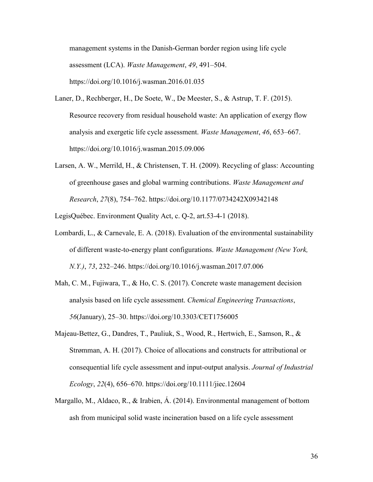management systems in the Danish-German border region using life cycle assessment (LCA). *Waste Management*, *49*, 491–504. https://doi.org/10.1016/j.wasman.2016.01.035

- Laner, D., Rechberger, H., De Soete, W., De Meester, S., & Astrup, T. F. (2015). Resource recovery from residual household waste: An application of exergy flow analysis and exergetic life cycle assessment. *Waste Management*, *46*, 653–667. https://doi.org/10.1016/j.wasman.2015.09.006
- Larsen, A. W., Merrild, H., & Christensen, T. H. (2009). Recycling of glass: Accounting of greenhouse gases and global warming contributions. *Waste Management and Research*, *27*(8), 754–762. https://doi.org/10.1177/0734242X09342148

LegisQuébec. Environment Quality Act, c. Q-2, art.53-4-1 (2018).

- Lombardi, L., & Carnevale, E. A. (2018). Evaluation of the environmental sustainability of different waste-to-energy plant configurations. *Waste Management (New York, N.Y.)*, *73*, 232–246. https://doi.org/10.1016/j.wasman.2017.07.006
- Mah, C. M., Fujiwara, T., & Ho, C. S. (2017). Concrete waste management decision analysis based on life cycle assessment. *Chemical Engineering Transactions*, *56*(January), 25–30. https://doi.org/10.3303/CET1756005
- Majeau-Bettez, G., Dandres, T., Pauliuk, S., Wood, R., Hertwich, E., Samson, R., & Strømman, A. H. (2017). Choice of allocations and constructs for attributional or consequential life cycle assessment and input-output analysis. *Journal of Industrial Ecology*, *22*(4), 656–670. https://doi.org/10.1111/jiec.12604
- Margallo, M., Aldaco, R., & Irabien, Á. (2014). Environmental management of bottom ash from municipal solid waste incineration based on a life cycle assessment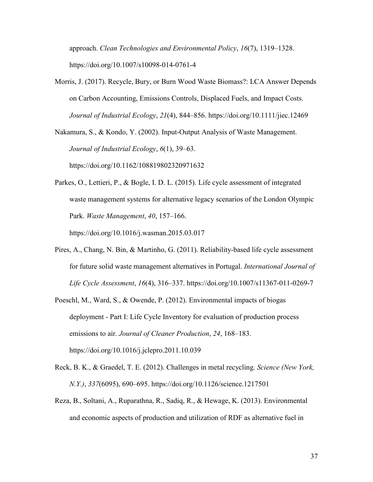approach. *Clean Technologies and Environmental Policy*, *16*(7), 1319–1328. https://doi.org/10.1007/s10098-014-0761-4

Morris, J. (2017). Recycle, Bury, or Burn Wood Waste Biomass?: LCA Answer Depends on Carbon Accounting, Emissions Controls, Displaced Fuels, and Impact Costs. *Journal of Industrial Ecology*, *21*(4), 844–856. https://doi.org/10.1111/jiec.12469

Nakamura, S., & Kondo, Y. (2002). Input-Output Analysis of Waste Management. *Journal of Industrial Ecology*, *6*(1), 39–63.

https://doi.org/10.1162/108819802320971632

Parkes, O., Lettieri, P., & Bogle, I. D. L. (2015). Life cycle assessment of integrated waste management systems for alternative legacy scenarios of the London Olympic Park. *Waste Management*, *40*, 157–166.

https://doi.org/10.1016/j.wasman.2015.03.017

- Pires, A., Chang, N. Bin, & Martinho, G. (2011). Reliability-based life cycle assessment for future solid waste management alternatives in Portugal. *International Journal of Life Cycle Assessment*, *16*(4), 316–337. https://doi.org/10.1007/s11367-011-0269-7
- Poeschl, M., Ward, S., & Owende, P. (2012). Environmental impacts of biogas deployment - Part I: Life Cycle Inventory for evaluation of production process emissions to air. *Journal of Cleaner Production*, *24*, 168–183. https://doi.org/10.1016/j.jclepro.2011.10.039
- Reck, B. K., & Graedel, T. E. (2012). Challenges in metal recycling. *Science (New York, N.Y.)*, *337*(6095), 690–695. https://doi.org/10.1126/science.1217501
- Reza, B., Soltani, A., Ruparathna, R., Sadiq, R., & Hewage, K. (2013). Environmental and economic aspects of production and utilization of RDF as alternative fuel in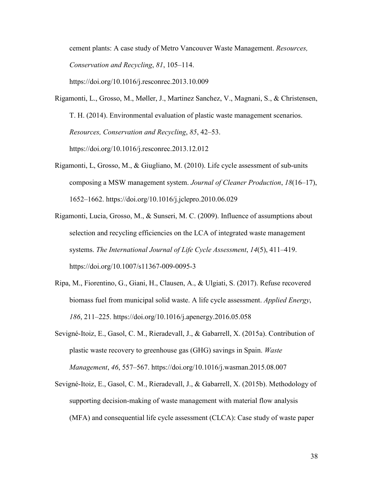cement plants: A case study of Metro Vancouver Waste Management. *Resources, Conservation and Recycling*, *81*, 105–114.

https://doi.org/10.1016/j.resconrec.2013.10.009

- Rigamonti, L., Grosso, M., Møller, J., Martinez Sanchez, V., Magnani, S., & Christensen, T. H. (2014). Environmental evaluation of plastic waste management scenarios. *Resources, Conservation and Recycling*, *85*, 42–53. https://doi.org/10.1016/j.resconrec.2013.12.012
- Rigamonti, L, Grosso, M., & Giugliano, M. (2010). Life cycle assessment of sub-units composing a MSW management system. *Journal of Cleaner Production*, *18*(16–17), 1652–1662. https://doi.org/10.1016/j.jclepro.2010.06.029
- Rigamonti, Lucia, Grosso, M., & Sunseri, M. C. (2009). Influence of assumptions about selection and recycling efficiencies on the LCA of integrated waste management systems. *The International Journal of Life Cycle Assessment*, *14*(5), 411–419. https://doi.org/10.1007/s11367-009-0095-3
- Ripa, M., Fiorentino, G., Giani, H., Clausen, A., & Ulgiati, S. (2017). Refuse recovered biomass fuel from municipal solid waste. A life cycle assessment. *Applied Energy*, *186*, 211–225. https://doi.org/10.1016/j.apenergy.2016.05.058
- Sevigné-Itoiz, E., Gasol, C. M., Rieradevall, J., & Gabarrell, X. (2015a). Contribution of plastic waste recovery to greenhouse gas (GHG) savings in Spain. *Waste Management*, *46*, 557–567. https://doi.org/10.1016/j.wasman.2015.08.007
- Sevigné-Itoiz, E., Gasol, C. M., Rieradevall, J., & Gabarrell, X. (2015b). Methodology of supporting decision-making of waste management with material flow analysis (MFA) and consequential life cycle assessment (CLCA): Case study of waste paper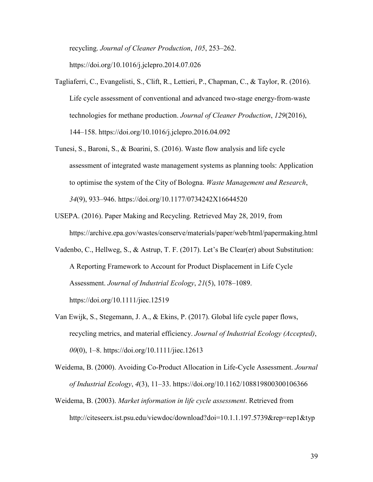recycling. *Journal of Cleaner Production*, *105*, 253–262. https://doi.org/10.1016/j.jclepro.2014.07.026

- Tagliaferri, C., Evangelisti, S., Clift, R., Lettieri, P., Chapman, C., & Taylor, R. (2016). Life cycle assessment of conventional and advanced two-stage energy-from-waste technologies for methane production. *Journal of Cleaner Production*, *129*(2016), 144–158. https://doi.org/10.1016/j.jclepro.2016.04.092
- Tunesi, S., Baroni, S., & Boarini, S. (2016). Waste flow analysis and life cycle assessment of integrated waste management systems as planning tools: Application to optimise the system of the City of Bologna. *Waste Management and Research*, *34*(9), 933–946. https://doi.org/10.1177/0734242X16644520
- USEPA. (2016). Paper Making and Recycling. Retrieved May 28, 2019, from https://archive.epa.gov/wastes/conserve/materials/paper/web/html/papermaking.html
- Vadenbo, C., Hellweg, S., & Astrup, T. F. (2017). Let's Be Clear(er) about Substitution: A Reporting Framework to Account for Product Displacement in Life Cycle Assessment. *Journal of Industrial Ecology*, *21*(5), 1078–1089.

https://doi.org/10.1111/jiec.12519

Van Ewijk, S., Stegemann, J. A., & Ekins, P. (2017). Global life cycle paper flows, recycling metrics, and material efficiency. *Journal of Industrial Ecology (Accepted)*, *00*(0), 1–8. https://doi.org/10.1111/jiec.12613

Weidema, B. (2000). Avoiding Co-Product Allocation in Life-Cycle Assessment. *Journal of Industrial Ecology*, *4*(3), 11–33. https://doi.org/10.1162/108819800300106366

Weidema, B. (2003). *Market information in life cycle assessment*. Retrieved from http://citeseerx.ist.psu.edu/viewdoc/download?doi=10.1.1.197.5739&rep=rep1&typ